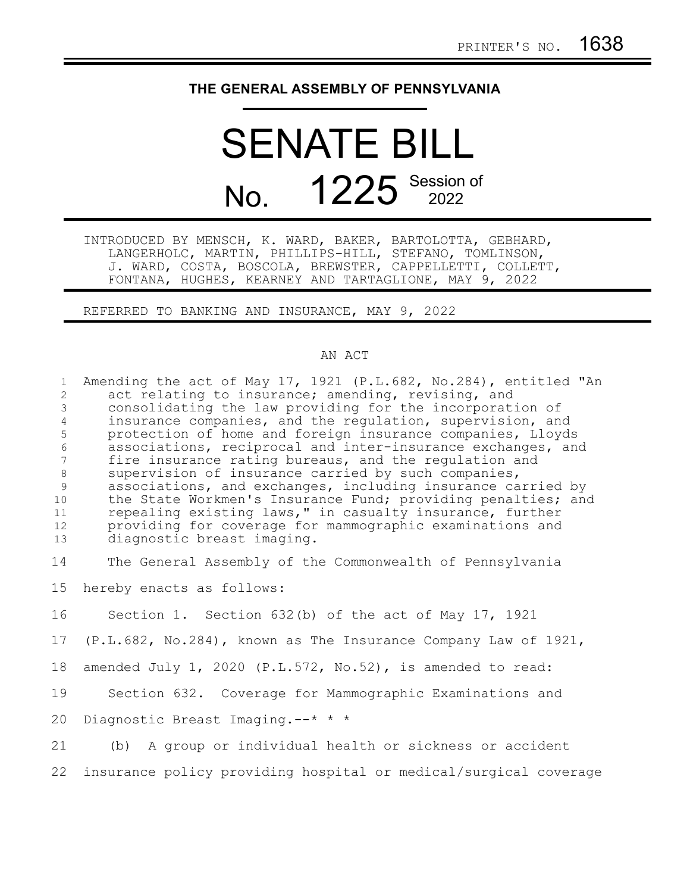## **THE GENERAL ASSEMBLY OF PENNSYLVANIA**

## SENATE BILL No. 1225 Session of

INTRODUCED BY MENSCH, K. WARD, BAKER, BARTOLOTTA, GEBHARD, LANGERHOLC, MARTIN, PHILLIPS-HILL, STEFANO, TOMLINSON, J. WARD, COSTA, BOSCOLA, BREWSTER, CAPPELLETTI, COLLETT, FONTANA, HUGHES, KEARNEY AND TARTAGLIONE, MAY 9, 2022

REFERRED TO BANKING AND INSURANCE, MAY 9, 2022

## AN ACT

| $\mathbf{1}$        | Amending the act of May 17, 1921 (P.L.682, No.284), entitled "An                                                        |
|---------------------|-------------------------------------------------------------------------------------------------------------------------|
| $\mathbf{2}$        | act relating to insurance; amending, revising, and                                                                      |
| 3                   | consolidating the law providing for the incorporation of                                                                |
| $\overline{4}$<br>5 | insurance companies, and the regulation, supervision, and<br>protection of home and foreign insurance companies, Lloyds |
| $6\,$               | associations, reciprocal and inter-insurance exchanges, and                                                             |
| 7                   | fire insurance rating bureaus, and the regulation and                                                                   |
| 8                   | supervision of insurance carried by such companies,                                                                     |
| 9                   | associations, and exchanges, including insurance carried by                                                             |
| 10                  | the State Workmen's Insurance Fund; providing penalties; and                                                            |
| 11                  | repealing existing laws," in casualty insurance, further                                                                |
| 12                  | providing for coverage for mammographic examinations and                                                                |
| 13                  | diagnostic breast imaging.                                                                                              |
|                     |                                                                                                                         |
| 14                  | The General Assembly of the Commonwealth of Pennsylvania                                                                |
| 15 <sub>1</sub>     | hereby enacts as follows:                                                                                               |
|                     |                                                                                                                         |
| 16                  | Section 1. Section 632(b) of the act of May 17, 1921                                                                    |
| 17                  | (P.L.682, No.284), known as The Insurance Company Law of 1921,                                                          |
| 18                  | amended July 1, 2020 (P.L.572, No.52), is amended to read:                                                              |
|                     |                                                                                                                         |
| 19                  | Section 632. Coverage for Mammographic Examinations and                                                                 |
| 20                  | Diagnostic Breast Imaging.--* * *                                                                                       |
|                     |                                                                                                                         |
| 21                  | (b) A group or individual health or sickness or accident                                                                |
| 22                  | insurance policy providing hospital or medical/surgical coverage                                                        |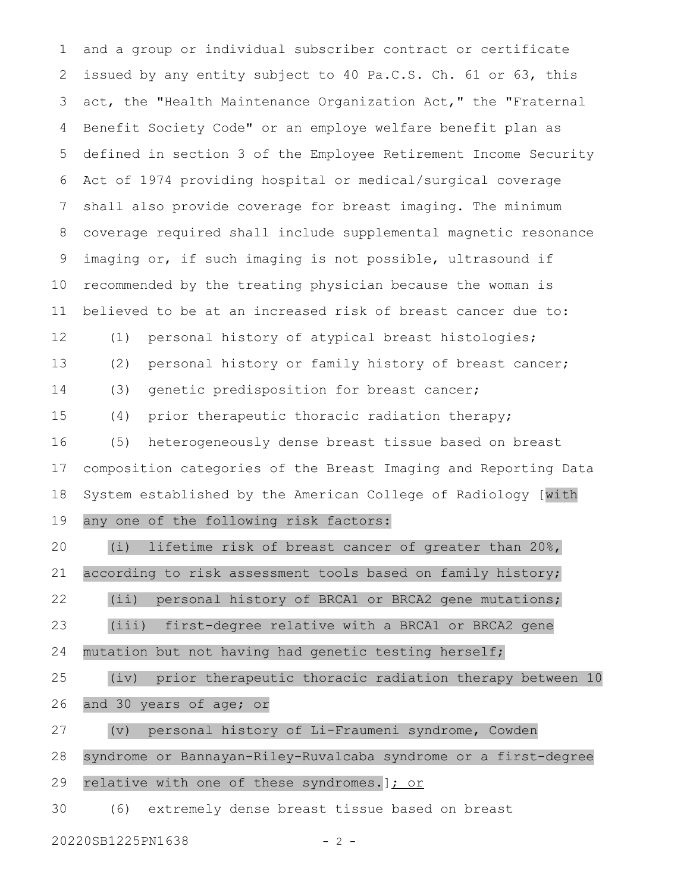and a group or individual subscriber contract or certificate issued by any entity subject to 40 Pa.C.S. Ch. 61 or 63, this act, the "Health Maintenance Organization Act," the "Fraternal Benefit Society Code" or an employe welfare benefit plan as defined in section 3 of the Employee Retirement Income Security Act of 1974 providing hospital or medical/surgical coverage shall also provide coverage for breast imaging. The minimum coverage required shall include supplemental magnetic resonance imaging or, if such imaging is not possible, ultrasound if recommended by the treating physician because the woman is believed to be at an increased risk of breast cancer due to: (1) personal history of atypical breast histologies; (2) personal history or family history of breast cancer; (3) genetic predisposition for breast cancer; (4) prior therapeutic thoracic radiation therapy; (5) heterogeneously dense breast tissue based on breast composition categories of the Breast Imaging and Reporting Data System established by the American College of Radiology [with any one of the following risk factors: (i) lifetime risk of breast cancer of greater than 20%, according to risk assessment tools based on family history; (ii) personal history of BRCA1 or BRCA2 gene mutations; (iii) first-degree relative with a BRCA1 or BRCA2 gene mutation but not having had genetic testing herself; (iv) prior therapeutic thoracic radiation therapy between 10 and 30 years of age; or (v) personal history of Li-Fraumeni syndrome, Cowden syndrome or Bannayan-Riley-Ruvalcaba syndrome or a first-degree relative with one of these syndromes.  $]$ : or 1 2 3 4 5 6 7 8 9 10 11 12 13 14 15 16 17 18 19 20 21 22 23 24 25 26 27 28 29

(6) extremely dense breast tissue based on breast 30

20220SB1225PN1638 - 2 -